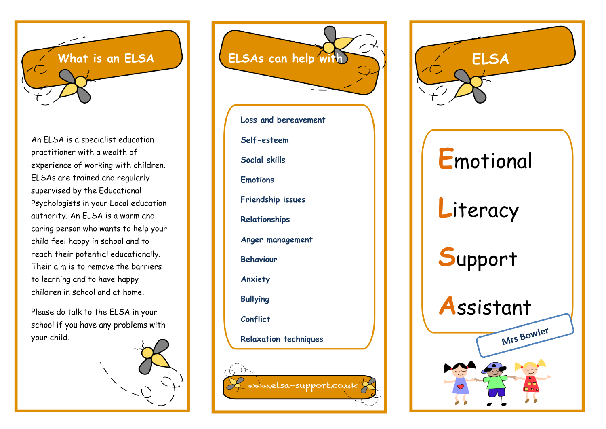

An ELSA is a specialist education practitioner with a wealth of experience of working with children. ELSAs are trained and regularly supervised by the Educational Psychologists in your Local education authority. An ELSA is a warm and caring person who wants to help your child feel happy in school and to reach their potential educationally. Their aim is to remove the barriers to learning and to have happy children in school and at home.

Please do talk to the ELSA in your school if you have any problems with your child.





**Loss and bereavement Self-esteem Social skills Emotions Friendship issues Relationships Anger management Behaviour Anxiety Bullying Conflict Relaxation techniques**

Le www.elsa-support.co.uk

 $\sqrt{2}$